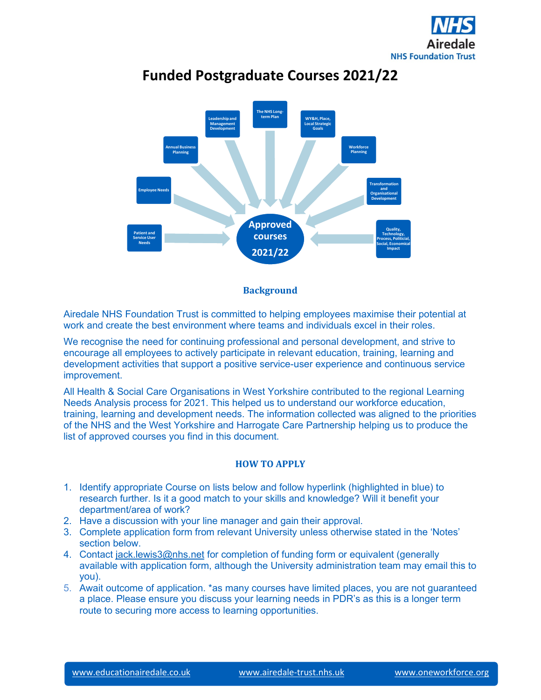



# **Funded Postgraduate Courses 2021/22**



Airedale NHS Foundation Trust is committed to helping employees maximise their potential at work and create the best environment where teams and individuals excel in their roles.

We recognise the need for continuing professional and personal development, and strive to encourage all employees to actively participate in relevant education, training, learning and development activities that support a positive service-user experience and continuous service improvement.

All Health & Social Care Organisations in West Yorkshire contributed to the regional Learning Needs Analysis process for 2021. This helped us to understand our workforce education, training, learning and development needs. The information collected was aligned to the priorities of the NHS and the West Yorkshire and Harrogate Care Partnership helping us to produce the list of approved courses you find in this document.

#### **HOW TO APPLY**

- 1. Identify appropriate Course on lists below and follow hyperlink (highlighted in blue) to research further. Is it a good match to your skills and knowledge? Will it benefit your department/area of work?
- 2. Have a discussion with your line manager and gain their approval.
- 3. Complete application form from relevant University unless otherwise stated in the 'Notes' section below.
- 4. Contact [jack.lewis3@nhs.net](mailto:jack.lewis3@nhs.net) for completion of funding form or equivalent (generally available with application form, although the University administration team may email this to you).
- 5. Await outcome of application. \*as many courses have limited places, you are not guaranteed a place. Please ensure you discuss your learning needs in PDR's as this is a longer term route to securing more access to learning opportunities.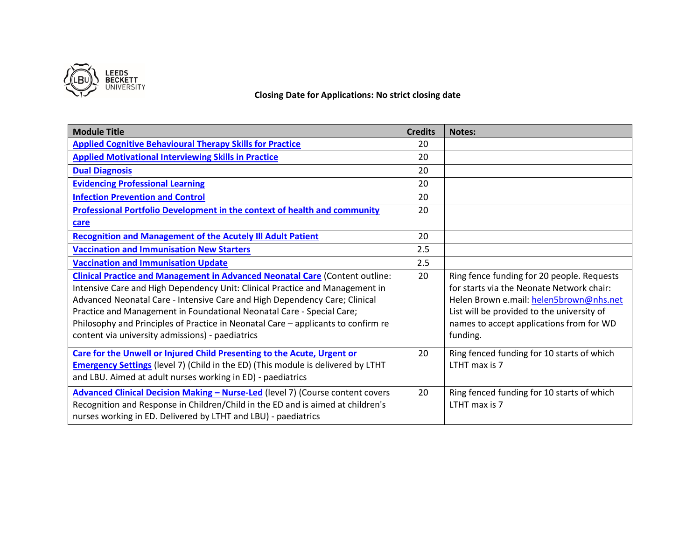

### **Closing Date for Applications: No strict closing date**

| <b>Module Title</b>                                                                                                                                                                                                                                                                                                                                                                                                                                                 | <b>Credits</b> | Notes:                                                                                                                                                                                                                                   |
|---------------------------------------------------------------------------------------------------------------------------------------------------------------------------------------------------------------------------------------------------------------------------------------------------------------------------------------------------------------------------------------------------------------------------------------------------------------------|----------------|------------------------------------------------------------------------------------------------------------------------------------------------------------------------------------------------------------------------------------------|
| <b>Applied Cognitive Behavioural Therapy Skills for Practice</b>                                                                                                                                                                                                                                                                                                                                                                                                    | 20             |                                                                                                                                                                                                                                          |
| <b>Applied Motivational Interviewing Skills in Practice</b>                                                                                                                                                                                                                                                                                                                                                                                                         | 20             |                                                                                                                                                                                                                                          |
| <b>Dual Diagnosis</b>                                                                                                                                                                                                                                                                                                                                                                                                                                               | 20             |                                                                                                                                                                                                                                          |
| <b>Evidencing Professional Learning</b>                                                                                                                                                                                                                                                                                                                                                                                                                             | 20             |                                                                                                                                                                                                                                          |
| <b>Infection Prevention and Control</b>                                                                                                                                                                                                                                                                                                                                                                                                                             | 20             |                                                                                                                                                                                                                                          |
| <b>Professional Portfolio Development in the context of health and community</b>                                                                                                                                                                                                                                                                                                                                                                                    | 20             |                                                                                                                                                                                                                                          |
| care                                                                                                                                                                                                                                                                                                                                                                                                                                                                |                |                                                                                                                                                                                                                                          |
| <b>Recognition and Management of the Acutely III Adult Patient</b>                                                                                                                                                                                                                                                                                                                                                                                                  | 20             |                                                                                                                                                                                                                                          |
| <b>Vaccination and Immunisation New Starters</b>                                                                                                                                                                                                                                                                                                                                                                                                                    | 2.5            |                                                                                                                                                                                                                                          |
| <b>Vaccination and Immunisation Update</b>                                                                                                                                                                                                                                                                                                                                                                                                                          | 2.5            |                                                                                                                                                                                                                                          |
| <b>Clinical Practice and Management in Advanced Neonatal Care (Content outline:</b><br>Intensive Care and High Dependency Unit: Clinical Practice and Management in<br>Advanced Neonatal Care - Intensive Care and High Dependency Care; Clinical<br>Practice and Management in Foundational Neonatal Care - Special Care;<br>Philosophy and Principles of Practice in Neonatal Care - applicants to confirm re<br>content via university admissions) - paediatrics | 20             | Ring fence funding for 20 people. Requests<br>for starts via the Neonate Network chair:<br>Helen Brown e.mail: helen5brown@nhs.net<br>List will be provided to the university of<br>names to accept applications from for WD<br>funding. |
| Care for the Unwell or Injured Child Presenting to the Acute, Urgent or<br><b>Emergency Settings</b> (level 7) (Child in the ED) (This module is delivered by LTHT<br>and LBU. Aimed at adult nurses working in ED) - paediatrics                                                                                                                                                                                                                                   | 20             | Ring fenced funding for 10 starts of which<br>LTHT max is 7                                                                                                                                                                              |
| <b>Advanced Clinical Decision Making - Nurse-Led (level 7) (Course content covers</b><br>Recognition and Response in Children/Child in the ED and is aimed at children's<br>nurses working in ED. Delivered by LTHT and LBU) - paediatrics                                                                                                                                                                                                                          | 20             | Ring fenced funding for 10 starts of which<br>LTHT max is 7                                                                                                                                                                              |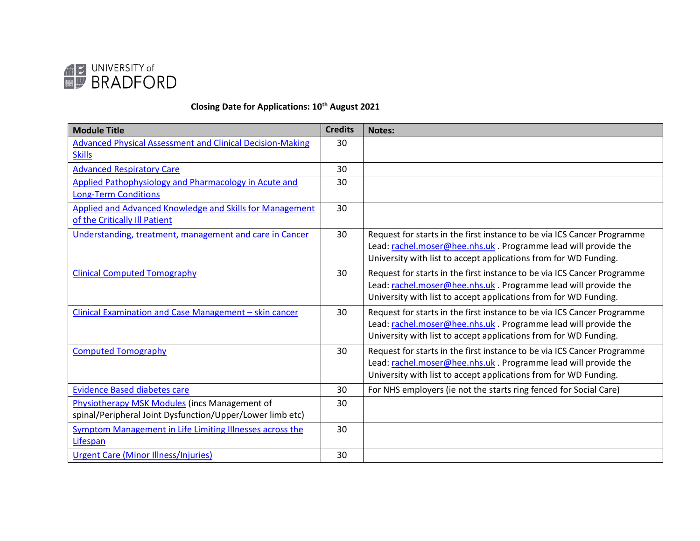

## **Closing Date for Applications: 10th August 2021**

| <b>Module Title</b>                                              | <b>Credits</b> | <b>Notes:</b>                                                           |
|------------------------------------------------------------------|----------------|-------------------------------------------------------------------------|
| <b>Advanced Physical Assessment and Clinical Decision-Making</b> | 30             |                                                                         |
| <b>Skills</b>                                                    |                |                                                                         |
| <b>Advanced Respiratory Care</b>                                 | 30             |                                                                         |
| Applied Pathophysiology and Pharmacology in Acute and            | 30             |                                                                         |
| <b>Long-Term Conditions</b>                                      |                |                                                                         |
| <b>Applied and Advanced Knowledge and Skills for Management</b>  | 30             |                                                                         |
| of the Critically Ill Patient                                    |                |                                                                         |
| Understanding, treatment, management and care in Cancer          | 30             | Request for starts in the first instance to be via ICS Cancer Programme |
|                                                                  |                | Lead: rachel.moser@hee.nhs.uk. Programme lead will provide the          |
|                                                                  |                | University with list to accept applications from for WD Funding.        |
| <b>Clinical Computed Tomography</b>                              | 30             | Request for starts in the first instance to be via ICS Cancer Programme |
|                                                                  |                | Lead: rachel.moser@hee.nhs.uk. Programme lead will provide the          |
|                                                                  |                | University with list to accept applications from for WD Funding.        |
| Clinical Examination and Case Management - skin cancer           | 30             | Request for starts in the first instance to be via ICS Cancer Programme |
|                                                                  |                | Lead: rachel.moser@hee.nhs.uk. Programme lead will provide the          |
|                                                                  |                | University with list to accept applications from for WD Funding.        |
| <b>Computed Tomography</b>                                       | 30             | Request for starts in the first instance to be via ICS Cancer Programme |
|                                                                  |                | Lead: rachel.moser@hee.nhs.uk. Programme lead will provide the          |
|                                                                  |                | University with list to accept applications from for WD Funding.        |
| <b>Evidence Based diabetes care</b>                              | 30             | For NHS employers (ie not the starts ring fenced for Social Care)       |
| Physiotherapy MSK Modules (incs Management of                    | 30             |                                                                         |
| spinal/Peripheral Joint Dysfunction/Upper/Lower limb etc)        |                |                                                                         |
| <b>Symptom Management in Life Limiting Illnesses across the</b>  | 30             |                                                                         |
| Lifespan                                                         |                |                                                                         |
| <b>Urgent Care (Minor Illness/Injuries)</b>                      | 30             |                                                                         |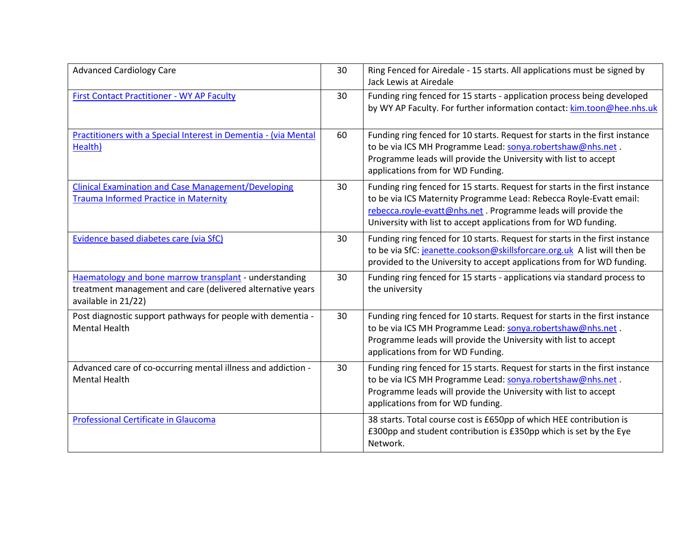| <b>Advanced Cardiology Care</b>                                                                                                             | 30 | Ring Fenced for Airedale - 15 starts. All applications must be signed by<br>Jack Lewis at Airedale                                                                                                                                                                                     |
|---------------------------------------------------------------------------------------------------------------------------------------------|----|----------------------------------------------------------------------------------------------------------------------------------------------------------------------------------------------------------------------------------------------------------------------------------------|
| <b>First Contact Practitioner - WY AP Faculty</b>                                                                                           | 30 | Funding ring fenced for 15 starts - application process being developed<br>by WY AP Faculty. For further information contact: kim.toon@hee.nhs.uk                                                                                                                                      |
| Practitioners with a Special Interest in Dementia - (via Mental<br>Health)                                                                  | 60 | Funding ring fenced for 10 starts. Request for starts in the first instance<br>to be via ICS MH Programme Lead: sonya.robertshaw@nhs.net.<br>Programme leads will provide the University with list to accept<br>applications from for WD Funding.                                      |
| <b>Clinical Examination and Case Management/Developing</b><br><b>Trauma Informed Practice in Maternity</b>                                  | 30 | Funding ring fenced for 15 starts. Request for starts in the first instance<br>to be via ICS Maternity Programme Lead: Rebecca Royle-Evatt email:<br>rebecca.royle-evatt@nhs.net. Programme leads will provide the<br>University with list to accept applications from for WD funding. |
| Evidence based diabetes care (via SfC)                                                                                                      | 30 | Funding ring fenced for 10 starts. Request for starts in the first instance<br>to be via SfC: jeanette.cookson@skillsforcare.org.uk A list will then be<br>provided to the University to accept applications from for WD funding.                                                      |
| Haematology and bone marrow transplant - understanding<br>treatment management and care (delivered alternative years<br>available in 21/22) | 30 | Funding ring fenced for 15 starts - applications via standard process to<br>the university                                                                                                                                                                                             |
| Post diagnostic support pathways for people with dementia -<br><b>Mental Health</b>                                                         | 30 | Funding ring fenced for 10 starts. Request for starts in the first instance<br>to be via ICS MH Programme Lead: sonya.robertshaw@nhs.net.<br>Programme leads will provide the University with list to accept<br>applications from for WD Funding.                                      |
| Advanced care of co-occurring mental illness and addiction -<br><b>Mental Health</b>                                                        | 30 | Funding ring fenced for 15 starts. Request for starts in the first instance<br>to be via ICS MH Programme Lead: sonya.robertshaw@nhs.net.<br>Programme leads will provide the University with list to accept<br>applications from for WD funding.                                      |
| Professional Certificate in Glaucoma                                                                                                        |    | 38 starts. Total course cost is £650pp of which HEE contribution is<br>£300pp and student contribution is £350pp which is set by the Eye<br>Network.                                                                                                                                   |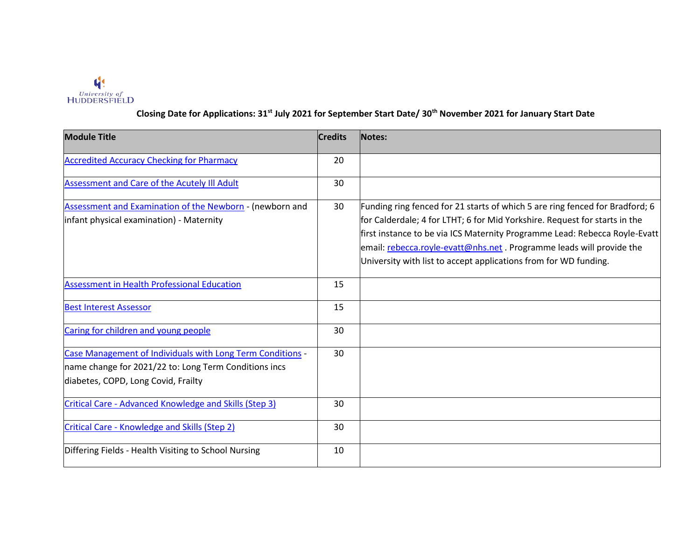

### **Closing Date for Applications: 31st July 2021 for September Start Date/ 30th November 2021 for January Start Date**

| <b>Module Title</b>                                                                                                                                        | <b>Credits</b> | Notes:                                                                                                                                                                                                                                                                                                                                                                                |
|------------------------------------------------------------------------------------------------------------------------------------------------------------|----------------|---------------------------------------------------------------------------------------------------------------------------------------------------------------------------------------------------------------------------------------------------------------------------------------------------------------------------------------------------------------------------------------|
| <b>Accredited Accuracy Checking for Pharmacy</b>                                                                                                           | 20             |                                                                                                                                                                                                                                                                                                                                                                                       |
| Assessment and Care of the Acutely III Adult                                                                                                               | 30             |                                                                                                                                                                                                                                                                                                                                                                                       |
| Assessment and Examination of the Newborn - (newborn and<br>infant physical examination) - Maternity                                                       | 30             | Funding ring fenced for 21 starts of which 5 are ring fenced for Bradford; 6<br>for Calderdale; 4 for LTHT; 6 for Mid Yorkshire. Request for starts in the<br>first instance to be via ICS Maternity Programme Lead: Rebecca Royle-Evatt<br>email: rebecca.royle-evatt@nhs.net . Programme leads will provide the<br>University with list to accept applications from for WD funding. |
| <b>Assessment in Health Professional Education</b>                                                                                                         | 15             |                                                                                                                                                                                                                                                                                                                                                                                       |
| <b>Best Interest Assessor</b>                                                                                                                              | 15             |                                                                                                                                                                                                                                                                                                                                                                                       |
| Caring for children and young people                                                                                                                       | 30             |                                                                                                                                                                                                                                                                                                                                                                                       |
| Case Management of Individuals with Long Term Conditions -<br>name change for 2021/22 to: Long Term Conditions incs<br>diabetes, COPD, Long Covid, Frailty | 30             |                                                                                                                                                                                                                                                                                                                                                                                       |
| Critical Care - Advanced Knowledge and Skills (Step 3)                                                                                                     | 30             |                                                                                                                                                                                                                                                                                                                                                                                       |
| Critical Care - Knowledge and Skills (Step 2)                                                                                                              | 30             |                                                                                                                                                                                                                                                                                                                                                                                       |
| Differing Fields - Health Visiting to School Nursing                                                                                                       | 10             |                                                                                                                                                                                                                                                                                                                                                                                       |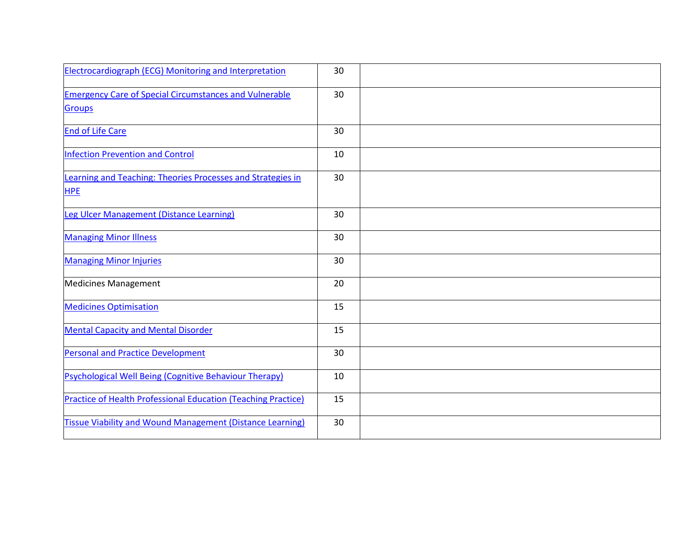| <b>Electrocardiograph (ECG) Monitoring and Interpretation</b>                  | 30 |  |
|--------------------------------------------------------------------------------|----|--|
| <b>Emergency Care of Special Circumstances and Vulnerable</b><br><b>Groups</b> | 30 |  |
| <b>End of Life Care</b>                                                        | 30 |  |
| <b>Infection Prevention and Control</b>                                        | 10 |  |
| Learning and Teaching: Theories Processes and Strategies in<br><b>HPE</b>      | 30 |  |
| Leg Ulcer Management (Distance Learning)                                       | 30 |  |
| <b>Managing Minor Illness</b>                                                  | 30 |  |
| <b>Managing Minor Injuries</b>                                                 | 30 |  |
| <b>Medicines Management</b>                                                    | 20 |  |
| <b>Medicines Optimisation</b>                                                  | 15 |  |
| <b>Mental Capacity and Mental Disorder</b>                                     | 15 |  |
| <b>Personal and Practice Development</b>                                       | 30 |  |
| Psychological Well Being (Cognitive Behaviour Therapy)                         | 10 |  |
| <b>Practice of Health Professional Education (Teaching Practice)</b>           | 15 |  |
| <b>Tissue Viability and Wound Management (Distance Learning)</b>               | 30 |  |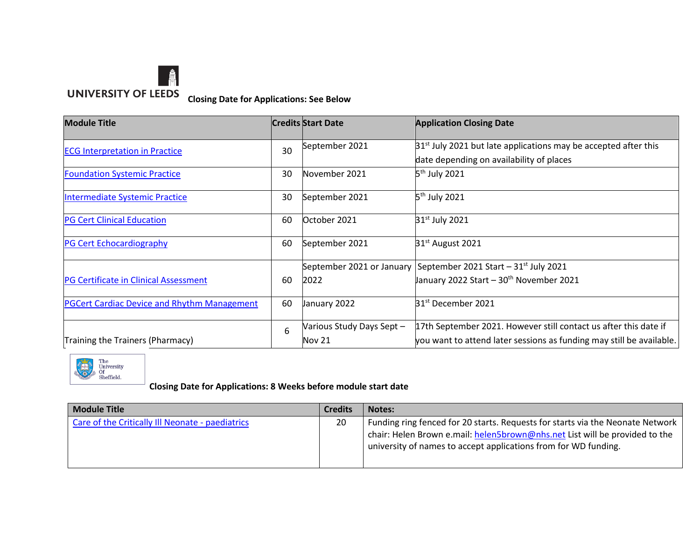

**Closing Date for Applications: See Below**

| <b>Module Title</b>                                |    | <b>Credits Start Date</b> | <b>Application Closing Date</b>                                      |
|----------------------------------------------------|----|---------------------------|----------------------------------------------------------------------|
| <b>ECG Interpretation in Practice</b>              | 30 | September 2021            | $31st$ July 2021 but late applications may be accepted after this    |
|                                                    |    |                           | date depending on availability of places                             |
| <b>Foundation Systemic Practice</b>                | 30 | November 2021             | 5 <sup>th</sup> July 2021                                            |
| Intermediate Systemic Practice                     | 30 | September 2021            | 5 <sup>th</sup> July 2021                                            |
| <b>PG Cert Clinical Education</b>                  | 60 | October 2021              | 31 <sup>st</sup> July 2021                                           |
| <b>PG Cert Echocardiography</b>                    | 60 | September 2021            | $31st$ August 2021                                                   |
|                                                    |    |                           | September 2021 or January September 2021 Start $-31st$ July 2021     |
| PG Certificate in Clinical Assessment              | 60 | 2022                      | January 2022 Start - 30 <sup>th</sup> November 2021                  |
| <b>PGCert Cardiac Device and Rhythm Management</b> | 60 | January 2022              | 31 <sup>st</sup> December 2021                                       |
|                                                    | 6  | Various Study Days Sept - | 17th September 2021. However still contact us after this date if     |
| Training the Trainers (Pharmacy)                   |    | Nov 21                    | you want to attend later sessions as funding may still be available. |



### **Closing Date for Applications: 8 Weeks before module start date**

| <b>Module Title</b>                              | <b>Credits</b> | <b>Notes:</b>                                                                                                                                                                                                                    |
|--------------------------------------------------|----------------|----------------------------------------------------------------------------------------------------------------------------------------------------------------------------------------------------------------------------------|
| Care of the Critically III Neonate - paediatrics | 20             | Funding ring fenced for 20 starts. Requests for starts via the Neonate Network<br>chair: Helen Brown e.mail: helen5brown@nhs.net List will be provided to the<br>university of names to accept applications from for WD funding. |